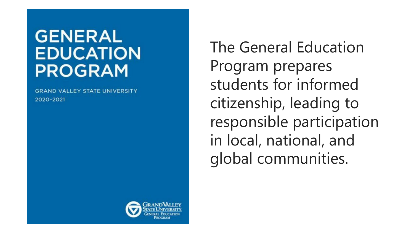# **GENERAL EDUCATION PROGRAM**

**GRAND VALLEY STATE UNIVERSITY** 2020-2021

The General Education Program prepares students for informed citizenship, leading to responsible participation in local, national, and global communities.

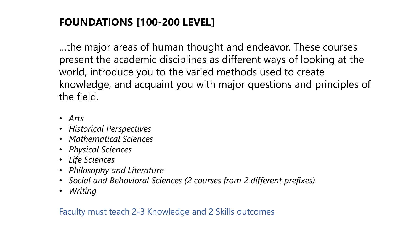## **FOUNDATIONS [100-200 LEVEL]**

…the major areas of human thought and endeavor. These courses present the academic disciplines as different ways of looking at the world, introduce you to the varied methods used to create knowledge, and acquaint you with major questions and principles of the field.

- *Arts*
- *Historical Perspectives*
- *Mathematical Sciences*
- *Physical Sciences*
- *Life Sciences*
- *Philosophy and Literature*
- *Social and Behavioral Sciences (2 courses from 2 different prefixes)*
- *Writing*

Faculty must teach 2-3 Knowledge and 2 Skills outcomes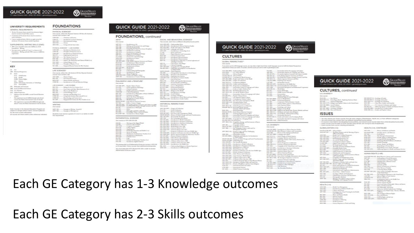### **QUICK GUIDE 2021-2022**

### UNIVERSITY REQUIREMENTS

CONCRAL REQ

| <b><i>CONTRACTOR COMMUNISTIES OF A REPORT OF A STATISTICS OF A REPORT OF A STATISTICS OF A REPORT OF A REPORT OF A R</i></b> |                      |
|------------------------------------------------------------------------------------------------------------------------------|----------------------|
| · The last 30 sensores functionwood a baconlineture degree                                                                   | PHYSICAL SC          |
| must be research in Grand Talley courses.                                                                                    | Greenstown, solita   |
| · A minimum of Womenor have must be severily a                                                                               | course must cont     |
| anie instrution.                                                                                                             | CHR 322              |
| * Correspondent later 100 de ter agér returé de                                                                              | CHAR TITLE           |
| minimum 130 answers fusion resoluti to graduate.                                                                             | ä<br>5812 100        |
|                                                                                                                              | DEC TOX.             |
| SUPPLEMENTAL WRITING SHILLS (SWS)                                                                                            | GEO TOL.<br>I        |
| * IRS cannot should be taken after fulfillment of CE.                                                                        |                      |
| Topolation - Writing                                                                                                         | PHYSICAL SCRN        |
| * The max matter agrain of Close Clint funer in GE                                                                           | ä<br>CHR 109         |
| Foundations - Writing and both 1983 courses to fulfill shirt                                                                 | CHAR TOS             |
| exploration.                                                                                                                 | CHR 323              |
|                                                                                                                              | ï<br><b>BEIGHT</b> . |
|                                                                                                                              | NAME OF GROOM        |
|                                                                                                                              | <b>PAIV IDS</b>      |
|                                                                                                                              | PHY 331              |
|                                                                                                                              | PHK 320              |
|                                                                                                                              | i<br>PHY 202         |
| <b>KEY</b>                                                                                                                   | BC1326.              |
| Age<br>186                                                                                                                   |                      |
| 1937: Miaminal Frequenties:                                                                                                  | LIFE SCIENCE         |
| 10.11<br><b>Source:</b>                                                                                                      | Dire startet, mills  |
| (LtD) Globalization                                                                                                          | international costs  |
| (CDS) House                                                                                                                  | ANT JOB              |
| G.HEL Human Kigher                                                                                                           | Ï<br><b>BUC 105</b>  |
|                                                                                                                              | ï<br><b>BHS 100</b>  |
| G.S. Likester                                                                                                                | CHRISTI              |
| (LST) Johannies Jacontins or Telestings<br>(L.E. Issuainakilor                                                               |                      |
|                                                                                                                              | LIFE SCHOOLES'       |
| [FL] Philosophy and Listenson:                                                                                               | <b>BIG HALL</b>      |
| 1980 Incident Advertised Internet                                                                                            | 840,107              |
| (US) U.S. Director                                                                                                           | 610-128              |
|                                                                                                                              | <b>BHD 120.</b>      |
| Indicates intent also fulfills a several General Education<br>33                                                             | <b>RHIELDES</b>      |
| congress                                                                                                                     | CHRISTI              |
| ٠<br>This explication may be fulfilled cleanary mult obtatal.                                                                | <b>CHRISTI</b>       |
|                                                                                                                              |                      |

This explores Games the Palma International Center for details. This explorered is surroundedly fulfilled through trust about Contact the Robert International Contact for Anady

Bala: Courses is its Deneal Biboulan Program and wights in whatge artifical codes, Consult styllanter for the most runsed information. All counters are three credits unders otherwise industries

**ENCES** · the Physical Drivers Cit like Life Science  $460 - 166$ Chinesen and Society leanskarten zu Georg **Detroitement Gorkigy Diego** Lining with the Great Lake CRY - LIA COUNSEL benabener Classians (d.d. Insulation of Chambers LVL at ternalisation no Clientical Science Industrial allegation lle Climaté Forme (6 et)<br>Insergate Kansasser<br>topicy: The Mechanical and Themasi Weddi (6 et) Deal Photo 12 of **Researcher of Physics L. N. of ..** largeard Physical Science for PK-2 Truckey. the Life Science Off the Mysted Science tiate a late Henex Digital **Detinational Stone** Haman Hoddi and Discuss<br>Interduction or Cell and Makesake Biology LAB COURSES Beloga for the Don Commer Horn's Green Laders and Children Water Housewere (4-c))<br>House in the World Child Incard Bology I (dive) nesses) and Physiology (4 or)<br>Integrated a decome chees passed? (4 or) Rearcheology and Toxiany (4 ed) WRITING Green concerned 1037 SEC ........... bowgas in Writing .. book & 1057 Wd .......... Insergio in Writing St ed. Shallmits must reserve a gravele of C (mot C ) or deriver to NATE

**GRAND VALLEY** 

vP

**FOUNDATIONS** 

|                               | <b>QUICK GUIDE 2021-2022</b><br>7 Lake Ontario Hall + (616) 131-8140 + geneditiv                                              |                                   | <b>GRAND WILEY</b><br><b><i><b>ATELNATIVE</b></i></b>                               |
|-------------------------------|-------------------------------------------------------------------------------------------------------------------------------|-----------------------------------|-------------------------------------------------------------------------------------|
|                               |                                                                                                                               |                                   |                                                                                     |
|                               | <b>FOUNDATIONS</b> , continued                                                                                                |                                   |                                                                                     |
| <b>ATS*</b>                   |                                                                                                                               |                                   | SOCIAL AND BEHAVIORAL SCIENCES*                                                     |
| hat challenge                 |                                                                                                                               |                                   | Text counses, each from a different absolutive freures prefly                       |
| et sos                        | Introduction to the                                                                                                           |                                   | A.I. & 200 (GP)  Undecausaling Africa                                               |
| <b>ATTER</b>                  | Misking and Meaning in Art and Thrigo-                                                                                        |                                   | AAA 221 (US)  Investories in African American Insulan                               |
| IT ISS<br><b>NT 335</b>       | Elmanisia: Rondamentale<br>Inequeing the Visual Arts Kenne Illusiphons                                                        |                                   | 8017 204 (TP)  Pricele und Cadricos of the World                                    |
| <b>RT 260</b>                 | <b>Executiveness to: Telesting</b>                                                                                            | ANT 320                           | ANT 202 (UE)  Larguage and Calmer<br>Introduction to Archaeology H cd.              |
| <b>RT 275</b>                 | <b>Executivation</b> to Soulpeans                                                                                             | CJ103                             | Seator and Earley                                                                   |
| er an.<br>er ani              | Digital 3D Modeling and Divigo<br>Installazion so Cavanico                                                                    | 09.201.<br><b>BCD 190</b>         | Digital likewittes and Communities                                                  |
| LE 250                        | Classical Art and Archievillage                                                                                               | 603.26                            | Ciarena Kontonsis Fasco.<br>Introductory Macrossophier                              |
| 01.200                        | <b>Introduction</b> to Financi                                                                                                | <b>BCO JTL</b>                    | Intendentery Microsometrics                                                         |
| (P.225)<br>95.222 (SP)        | Film Colors<br>July Males Japane Liensue auf Tieare                                                                           | <b>SEP 35</b>                     | Introduction to Education: A critical exploration a                                 |
| <b>JE 100</b>                 | <b>Executive to Mate Literature</b>                                                                                           | GPITE.                            | schooling in fountee<br>Cities/Towns and Village                                    |
| <b>JE DIA</b><br>JS 98        | hours and Three the Best year.<br>Ford anywards of Masic                                                                      | GPY 220.                          | <b>Cultural Gregoryky</b>                                                           |
| US 208 (SP)                   | <b>World Made</b>                                                                                                             | GPT 201 (GP)<br>0.0.2010.07       | Geography Ke a Champing World<br>(DistUnder and Chelborier) An Internals            |
|                               | Australia                                                                                                                     |                                   | as Global Studies                                                                   |
| <b>CO TAB</b><br>40 335       | <b>Mailensaling fall Phoneyally</b><br>Involveios in Tearr                                                                    | <b>US/PLE28 GP</b>                | Clubal Migration                                                                    |
| or set.                       | Thrace Fredericks                                                                                                             | (3.9) 2.90<br>INT 200 (US)        | Chargerolen/ lecolaries to baid lapse<br>Directile in the United States             |
| 03283 (US)                    | Genderund Begular Culture                                                                                                     | LAS310-00PL                       | Englishing Latin America                                                            |
| RT 239.                       | Introduction to Canalty Whiting                                                                                               |                                   | LAN 220 (US) - Introduction to Sarino's finalist                                    |
|                               |                                                                                                                               | 1.5.121                           | Law in Char Lines                                                                   |
|                               | HILOSOPHY AND LITERATURE*                                                                                                     | PROK 270.<br>PED 201              | Public and Hongmails Administration<br>Personal Houlds and Williams                 |
| <b>MI ABARTAS</b>             |                                                                                                                               | PLS 322                           | <b>Executives Commissions and Politics</b>                                          |
| 4 238 (GP).                   | <b>Funder Chinese Flexion</b>                                                                                                 | PLL 103 (0P).                     | Incars in World Publics                                                             |
| 4.321                         | Gerth and Hornary Mychology                                                                                                   | PLEZILISM).                       | International Relations<br>Immiltoner Postelage                                     |
| 4.301                         | Cleaned Lienseer<br>Health and histories in Antiquity                                                                         | PER 101.<br><b>REL. 100 (GP).</b> | Religious of the World                                                              |
| $-8.300$                      | Catal Incorporate                                                                                                             | BOC 101                           | Involveira a Saider                                                                 |
| 37.211<br><b>US ES</b>        | Introduction to Philosophies of Barly Childhood<br>Liensons is Eiglid.                                                        | BOC 108 (ME).                     | <b>Racial Problems</b>                                                              |
| 65 12.                        | Mask Ade Alace Makegroen                                                                                                      | SW TM.                            | UDC 240° (GB)  Savinlegy of Religion<br>Immakering in Social West and Social Wellam |
| <b>IS TE</b>                  | Introduction to Science Fiction                                                                                               |                                   | WDS 200 (181). Jaconkentee in Grader busker                                         |
| 45, 351<br><b>MALL OF OFT</b> | <b>World Liernson</b><br><b>Rady Aldreas American Lineasure</b>                                                               |                                   |                                                                                     |
| <b>F100</b>                   | Reflers, Gassers, Engage                                                                                                      |                                   |                                                                                     |
| 94 223 (SM)                   | Pre-needern Japanese Lineauer and Culture (ex 1898)<br>For World Wie II Japan shringh Literature and Pilo-                    | Doe noures                        | HISTORICAL PERSPECTIVES*                                                            |
| 41.023<br>1102                | Introduction to Philosophy<br><b>Editor</b>                                                                                   | ANTIBURY.                         | Ungay of Creditories                                                                |
| 1302                          | This lowest to must like the call I be said.                                                                                  | CLA III.                          | <b>Garda Civilization</b>                                                           |
| 1324                          | Knowledge, Policies, and fracial Madia                                                                                        | CLA III.<br>B.A.S. 201-32PL       | Roman Garlington<br>Ras Asia in die Gesenspreer Wold                                |
| <b>JUNT US</b>                | Introduction to Hartwa Eights                                                                                                 |                                   | USINE 202 UP). However of Global Change and Social Tie                              |
|                               |                                                                                                                               | HIG 201 (SP)                      | The followith: Birtelanian                                                          |
|                               | ATHEMATICAL SCIENCES*                                                                                                         | HEC 202                           | The Tushminginal Revolution                                                         |
|                               | e counte on HTH (28) 474-128                                                                                                  | HET IG (SP)<br>HET 102 (SP).      | Jacoslovine or World Civilizations<br>Introduction to Recognize Civilizationi       |
| 5321.                         | Burning in One Digital World.                                                                                                 | HET 1930 (LIE).                   | Interdection in Aperis on Civilizations                                             |
| PV 200                        | Least to Cade in Pribers                                                                                                      | HEY 203 (SP).                     | Wantai Houster to: 1980; 8-21.                                                      |
| TH 122                        | <b>Europee Geography</b><br><b>College Algebra</b>                                                                            | HET 208 (MI).                     | HET 224 (SP)  World History since 2500<br>American History to 4877                  |
| TH 123<br>TH 134              | Titgenameter<br>Paradoxiko: Panerione and Modole (5 o)                                                                        | HET 2014 (UK).                    | American History sizes 1877                                                         |
|                               |                                                                                                                               | HRT307.                           | European Ceilleaton occla: Laon Middle Ages                                         |
| TH 128<br>14136               | larrey of Calculus<br>Malassacs ha filosomery Trackets (Ive)                                                                  | HAT 204 (GP).                     | Entegran Certification stacy decliners Middle Ages                                  |
| nenzi.<br>Ni 301              | Incubation to Madematics                                                                                                      | HST 209 (GP)<br>HET 2R (GP).      | History and Itarial Studies for Himmonicy Teachers.<br>House of Intern Circle airs  |
|                               | <b>Calculus I II of</b>                                                                                                       | HET 252 (SP)                      | India: (Eiremy and Circlination)                                                    |
| 0.028<br>ta tak               | Light<br>Anatonics the Elementary Trackets (Just)                                                                             | HET JIBI (SP)                     | Latin American World Hispany                                                        |
| 16.216.                       | <b>Introductory Applied Features</b>                                                                                          | HET JAE (GP)                      | A History of Rear/Lite to 1808                                                      |
|                               |                                                                                                                               | HET 2/8 (SP).<br>HILL JO (GP)     | A Howay of Hua Asia sings 1898.<br>Interdective to the Middle Text                  |
|                               | a prerequisite la all'Alatiansibual Sisteman courses is NTH 102<br>th equivalent. Some courses have additional premissiviles. | REL. 200.                         | Underwooding Religious in Hisman Engertiment                                        |
|                               |                                                                                                                               | <b>AVILIE 324</b>                 | Introduction to 1/187/2 Studies                                                     |

Non-record Judge Booth AFT In 2005 and 27.50 AT 500 to conduct the recording Mix Museum with a 4 Threshoe court a way off

**QUICK GUIDE 2021-2022** 

### **O** GRANDWILLEY

### **CULTURES**

GLOBAL PERSPECTIVES"

Gre course

**GRAND WALLEY**<br>SEATE UNIVERSITY

Fyre plant suited a 202 larguage searce, proving late a higher level three-verall larguage resorte to fulfill the Designation of the control of the Community of the Community and the community of the Community of the Commu

And 200 (Mill). Slukesming Alter AAA 520 U.S.-Alika Brigins List W.I. Directly, Advised Public AME 200 UP (C. Concepture) Blok Director<br>AME 200 UPE) - Fregin and Cadures of the Want<br>ANT 2TO (199) - Corgin of Confinance ANT XIX (1-1) ..... Comparator Boligians ANT 140 (1-8) . Calson and Europeanor  $\begin{minipage}[c]{0.5\textwidth} \begin{minipage}[c]{0.5\textwidth} \begin{itemize} \begin{itemize} \begin{itemize} \begin{itemize} \end{itemize} \end{itemize} \end{itemize} \end{itemize} \end{minipage}[c]{\textbf{Matrix} \begin{itemize} \begin{itemize} \begin{itemize} \end{itemize} \end{itemize} \end{itemize} \end{itemize} \end{minipage}[c]{\textbf{Matrix} \begin{itemize} \begin{itemize} \begin{itemize} \end{itemize} \end{itemize} \end{itemize} \end{itemize} \end{minipage}[c]{\textbf{Matrix} \begin{itemize} \begin{itemize$ LET \$25 (1-5). Exhibits for ART 422 (1-5) ... Are and the Worlds of Major CH 202 ........... Jacquedian Chinese D Language and Calleen CH 236 (PL) Funda China Fiction THE FEE (Event ). Commission Chinese Culture EAS 2011-PL ... Eve Aix is the Contraporty World 800 SB (1-3) - Energing Hallers Tener<br>800 SB - Teneratived Teneration Inter-EDF EW (1-43) - Global Perspectives on Information  $123/538$   $231/9\%$  .<br>Keneralds Energy Symmetric and Australian BMR 2014. <br> . We id identicity **INSAN IT (%)** . Early African American Universe DV 2D (EE) - Gogogle for a Changing World (PM SE # 4 University) 109 (101) (14). Grandeira Bargo and Instrument of Basis  $10^{4}V$  BKI  $(\approx 0)$  . Factors: Coup, and the Challenging. Agricultural World cesadas Gark E  $\begin{array}{l} 0.03\ 247 (1300) - (13 \mu 0) \mbox{sin} \nu \mbox{ and } \mbox{Fulgeate} \ \ \mbox{the finalization} \\ \begin{array}{l} \mbox{in Table 3\ 1000} \\ 0.0000 \end{array} \mbox{in the case of Table 3\ 1000} \\ \end{array}$ 11/01/211181)... (Sichel Migrator<br>1010 2011/09 .... The historik Revolution HET WILDERS ... Involvement World Collegean 1937 - W. († 1917) - Amerikaansk se Wordt Corthonomy<br>1935 - Wallen Corporation († 1938 - Amerikaansk Schwammer<br>1937 - 1930 - John Corporation († 1938 - 1931)<br>1937 - 1936 - 1949 - Jonas van Godhammer († 1938)<br>1937 - 200 († HET 230 OHFL ... Late Associate World Higgstr 1912–233: (1995 – J. Leiz Amarica in Wood Hissory)<br>1912–2411 (1995 – J. Hissory of Don Asia van 1988)<br>1912–2411 (1995 – J. Hissory of Don Asia vana-1988)<br>1912–242 (1995 – J. Leongarov of Modern Judie and Don Islands<br>1927– reTH 178 ......... Incorrectional Ford and Culture 

1994 2012 (99.) For Minda Was II have channels Line ages and Hiles  $\begin{array}{l} 1.57.242 \, \, \ldots \, \, . \quad \, \text{Incomplete lost 0} \\ 9813.251.987 \, \ldots \, \text{Inenduction 0.4a} \, \text{With the face} \end{array}$ HGT 108 (1-01), Increasing Review and Calver-MOT 488 home-box 15 common at 10 Aug 1520, 218 (2) ...... World Visual Hot 2011 - Every Pickwalle<br>PH 210 - Every Pickwalle<br>Philadelphia RE202 Palamidian PH 455 - Washin of the Kare<br>Advanced Tapics in Asian Philasophy<br>PA 3 354 (1983) - Jacquin Washi Palmas PLS 21 (1811) ... Increasing Relations PLA 281 - Comparato Political Systems Canada<br>PLA 282 - Chinana Publics and U.S. China Richards PLE 284 - Lata Associate Publica Po<br/>, 2004<br> 1921 - Angelschap and Colones<br> 1927 - Ellis Angelschap and Colones<br> 1933 - Angelschap and Colones<br> 1933 - Ellis State and Colones<br> 1933 - Ellis State and Colones<br> 1934 - Ellis State and Colones<br> 1934 - Elli U.S. DIVERSITY Cine course AAA 3D (18th). Introduction to African Newtices Books Andered (Ed) (1985). Hande Winners Columns and Communications. However, or the Conference Humanity and Columns and Conference. ANY 23' (11) ....... Name Roadso of North Associate  $\begin{minipage}{. \label{fig:2} \begin{minipage}{. \label{fig:2} \begin{minipage}{. \label{fig:2} \end{minipage} \begin{minipage}{. \label{fig:2} \end{minipage} \begin{minipage}{. \label{fig:2} \end{minipage} \begin{minipage}{. \label{fig:2} \end{minipage} \begin{minipage}{. \label{fig:2} \end{minipage} \begin{minipage}{. \label{fig:2} \end{minipage} \begin{minipage}{. \label{fig:2} \end{minipage} \begin{minipage}{. \label{fig:2} \end{minipage} \begin{minipage}{. \label{fig:2$ 1937 ESS .......... The Direction Westman

JPN 202 ......... Increasing Lepson & Languay and Calvas

1994 212 (A) ... Each Michael Language Chrysler and Thomas

JPS 221 (PL) ...... For modern Separate Germany and Culture (addition

### **QUICK GUIDE 2021-2022 O** Seaso Warr

### **CULTURES**, continued

U.S. DIVERSITY Give course. HOE 279 .......... Tax History 1412 323 (15) ... Fram Rag to Book ... Exploring American Missis<br>#41 235 SOC 105 (MIS) - Audal Publices **BOC 280 - Familia in Italian** 100 287 (Mill) - Sandary of Referent SOC 23 (149). Record lide in

 $\begin{array}{l} \mbox{BIC/WHH} \to \mbox{BIC} \to \mbox{Laghalag} \to \mbox{Laghalag} \to \mbox{Laghalag} \to \mbox{Laghalag} \to \mbox{Laghalag} \to \mbox{Laghalag} \to \mbox{Laghalag} \to \mbox{Laghalag} \to \mbox{Laghalag} \to \mbox{Laghalag} \to \mbox{Laghalag} \to \mbox{Laghalag} \to \mbox{Laghalag} \to \mbox{Laghalag} \to \mbox{Laghalag} \to \mbox{Laghalag} \to \mbox{Laghalag} \to \mbox{L$ 1PA 311 ........... U.S. Latinsky College in and Calcul DWTRECHE ......... Kalifornian Restors in Hindels and His was paintern. Investor Could bully WOR 200 (4) ... Gouler and Foreign Gallery

### **ISSUES**

AAA/NATIN (AP)

AAA/HST IST

ANT A46 (SP) ART \$23 (0.9). ART 622 (SP).

OK ENGINE

CARDS BELL

CLA 301<br>CLA 302<br>BCD 349 (OP)

ICO 263<br>ICP 314 (GP) -APY TAX (AP)

GPC 862 (GP)

 $\frac{1637.332 \, (50\%)}{047 (1671) (60\%)}$ 

ear sos con-

**MAT 184** 

**810 RB** 

610 535 ...

CHK 202 ...

HEALTH (1-H)

 $408.332...$ 

 $\label{thm:main} \begin{array}{ll} \mbox{``The study where pure linear series from the same satisfying (The  
hadition, that, for some three, the two real numbers of the two-3 is the same at the two-3 is the same at the two-3 is the same at the two-3 is the same at the two-3 is the same at the two-3 is the same at the two-3 is the same at the two-3 is the same at the two-3 is the same at the two-3 is the same at the same. \end{array}$ Assets courses must be laten at (DSD) (empt) slug atmost are annoymu edu/studystmas) · Assets courses have a justice silending preceptable GLOBALIZATION (I-G)

### **MEANTH (LAR. CONTINUED)**

| Altimore Folking<br>The Black Disappres and the Meaning of Spaces.<br>LIBER on the president.<br>Health Care & Global Programme<br>. Pengerators an Globaltanica<br>Redunding Renaissance Arc.<br>Are and the Worlds of Island<br>Contemporary Chiama Cabore<br>Digital Citizen, Madio and Calegor<br>Route againing the Character<br>The Nager of Gards and Roman Treasur-<br>Emerging Maskers Source<br>Constantin Roomeda Systems | HET ERL.<br><b>INT/WOLTZK.</b><br>INT SIX.<br>HOV IID.<br><b>RUB TAX</b><br>NUM THE<br><b>NAM TAX</b><br>PSY 167.<br>ATH RGL.<br><b>INV XIX</b><br><b>WW EAS</b><br>TAX \$55 GASS. | Hieren of Hedicine and Health.<br>Tercedes Ineries and Advenues<br><b>Food Margaret</b><br>The Obraigraic Excitement<br>Healthy Aging: A Lifeting Luceum<br>Lining with Life Deceiver Blenta<br>Endrauster Wished Paddom in Healthiam<br>Health Peachdage<br>Lynn, Hodd, and William.<br>Reporting to Chemic Blues.<br>Reproding to Loss Dirack and Card<br>Additionaling Agents as in Hitable and Hitaman In |
|--------------------------------------------------------------------------------------------------------------------------------------------------------------------------------------------------------------------------------------------------------------------------------------------------------------------------------------------------------------------------------------------------------------------------------------|------------------------------------------------------------------------------------------------------------------------------------------------------------------------------------|---------------------------------------------------------------------------------------------------------------------------------------------------------------------------------------------------------------------------------------------------------------------------------------------------------------------------------------------------------------------------------------------------------------|
| Clubal Personation on Schooling<br>Global survey and ThreeSupports<br>Grapelitis, Burgy and Eurosement of Barole-<br>and Courand Hampton<br>Congrade and China's area of fina-<br>Formers, Cooper and Che Challenging<br>. Tonorganic of Masken India and Touch Asia.<br>- Heroes Traffic and Trafficking<br>Fraus and Francisco in a Global Environment<br>Taxonational Business and Calvaro                                        | HE INGANIE ROGHERS (II-HARD)<br>ANT AZE<br>CITEL.<br>CLA 367.<br>601.912.<br>END JAK.<br>HET TIR.<br>and the district of the state contribution                                    | AAA/918 H214H. Buck Wagon's Calcora and Communities<br>Andorpship's of Social Maconamo.<br>Crimeinal Transler and Histories Biglier-<br>Thirding Like a Homan Lamps<br><b>Child Godano</b><br><b>Lineared War</b><br>Hance of Democracy is Assetia.<br>March 1960 and the Company of the Company of                                                                                                           |

HULMARK

PH 125 ...

PHO 320

### Each GE Category has 1-3 Knowledge outcomes

## Each GE Category has 2-3 Skills outcomes

AHE 845. Introduction to Holizie Health Con **Culture and Elseven** ANT 120. naming to fare Mased Tracentag for the Health.<br>For Professional ART ESD. Plann and Haman Health Human Israeliy

International and Comp 

Secology of Work and Employment<br>Children in formula and Horonzon<br>Thus apople Markols

Weing in the Global Conner Co.<br>Technology and Lenguage Powels

### PH 230 ... Los Philosophy, and Incirry 49, 51, 53, 64 Thousand and the feather -Robyton in the World Today: Theories, Mardoub REL 203 2071 NOC 036 The Australian of Human Highw - AGENZ Nights and the Lett-

Communey Source de Midde Sa

wey of Sealt and Ball.

**Fasted and Political Philosophy** 

Fabrics in Fordcational U.Sc.

### Biomedical Relates Foundation of Boning 900 948 ... Health Expensive Lineary Responses to Deark and Drive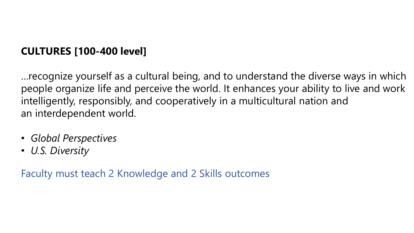## **CULTURES [100-400 level]**

…recognize yourself as a cultural being, and to understand the diverse ways in which people organize life and perceive the world. It enhances your ability to live and work intelligently, responsibly, and cooperatively in a multicultural nation and an interdependent world.

- *Global Perspectives*
- *U.S. Diversity*

Faculty must teach 2 Knowledge and 2 Skills outcomes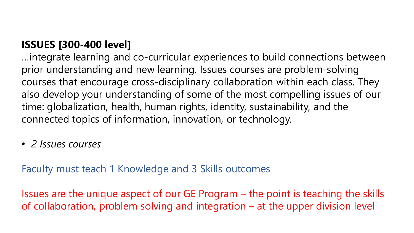## **ISSUES [300-400 level]**

…integrate learning and co-curricular experiences to build connections between prior understanding and new learning. Issues courses are problem-solving courses that encourage cross-disciplinary collaboration within each class. They also develop your understanding of some of the most compelling issues of our time: globalization, health, human rights, identity, sustainability, and the connected topics of information, innovation, or technology.

• *2 Issues courses*

Faculty must teach 1 Knowledge and 3 Skills outcomes

Issues are the unique aspect of our GE Program – the point is teaching the skills of collaboration, problem solving and integration – at the upper division level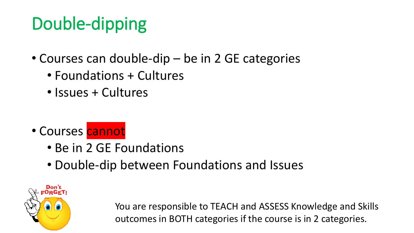# Double-dipping

- Courses can double-dip be in 2 GE categories
	- Foundations + Cultures
	- Issues + Cultures

- Courses cannot
	- Be in 2 GE Foundations
	- Double-dip between Foundations and Issues



You are responsible to TEACH and ASSESS Knowledge and Skills outcomes in BOTH categories if the course is in 2 categories.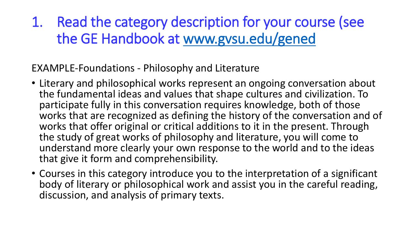1. Read the category description for your course (see the GE Handbook at [www.gvsu.edu/gened](http://www.gvsu.edu/gened)

EXAMPLE-Foundations - Philosophy and Literature

- Literary and philosophical works represent an ongoing conversation about the fundamental ideas and values that shape cultures and civilization. To participate fully in this conversation requires knowledge, both of those works that are recognized as defining the history of the conversation and of works that offer original or critical additions to it in the present. Through the study of great works of philosophy and literature, you will come to understand more clearly your own response to the world and to the ideas that give it form and comprehensibility.
- Courses in this category introduce you to the interpretation of a significant body of literary or philosophical work and assist you in the careful reading, discussion, and analysis of primary texts.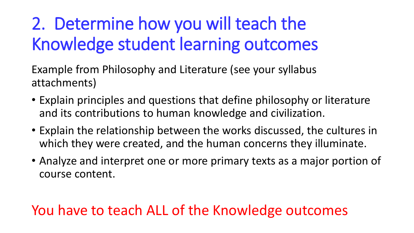# 2. Determine how you will teach the Knowledge student learning outcomes

Example from Philosophy and Literature (see your syllabus attachments)

- Explain principles and questions that define philosophy or literature and its contributions to human knowledge and civilization.
- Explain the relationship between the works discussed, the cultures in which they were created, and the human concerns they illuminate.
- Analyze and interpret one or more primary texts as a major portion of course content.

# You have to teach ALL of the Knowledge outcomes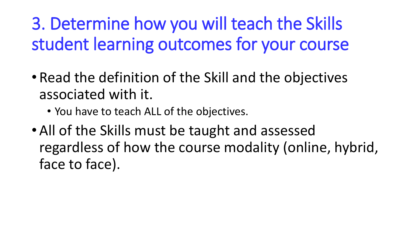# 3. Determine how you will teach the Skills student learning outcomes for your course

- Read the definition of the Skill and the objectives associated with it.
	- You have to teach ALL of the objectives.
- All of the Skills must be taught and assessed regardless of how the course modality (online, hybrid, face to face).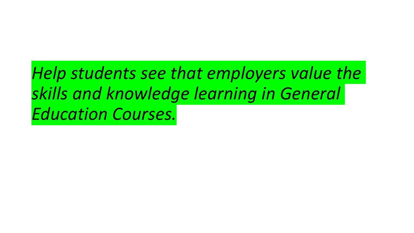*Help students see that employers value the skills and knowledge learning in General Education Courses.*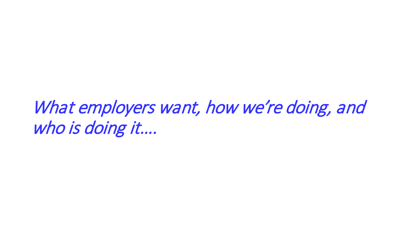What employers want, how we're doing, and who is doing it....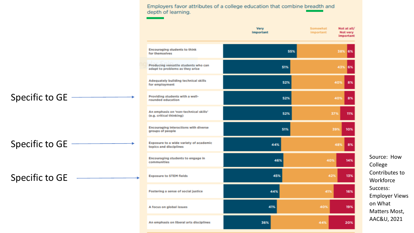Employers favor attributes of a college education that combine breadth and depth of learning.

|                                                                         | <b>Very</b><br>Important |     | Somewhat<br>important | Not at all/<br>Not very<br>important |
|-------------------------------------------------------------------------|--------------------------|-----|-----------------------|--------------------------------------|
| <b>Encouraging students to think</b><br>for themselves                  |                          | 55% |                       | 38%<br>6%                            |
| Producing versatile students who can<br>adapt to problems as they arise |                          | 51% |                       | 43%<br>6%                            |
| Adequately building technical skills<br>for employment                  |                          | 52% | 40%                   | 8%                                   |
| Providing students with a well-<br>rounded education                    |                          | 52% | 40%                   | 8%                                   |
| An emphasis on 'non-technical skills'<br>(e.g. critical thinking)       |                          | 52% | 37%                   | 11%                                  |
| <b>Encouraging interactions with diverse</b><br>groups of people        |                          | 51% | 39%                   | 10%                                  |
| Exposure to a wide variety of academic<br>topics and disciplines        | 44%                      |     | 48%                   | 8%                                   |
| Encouraging students to engage in<br>communities                        | 46%                      |     | 40%                   | 14%                                  |
| <b>Exposure to STEM fields</b>                                          | 45%                      |     | 42%                   | 13%                                  |
| Fostering a sense of social justice                                     | 44%                      |     | 41%                   | 16%                                  |
| A focus on global issues                                                | 41%                      |     | 40%                   | 19%                                  |
| An emphasis on liberal arts disciplines                                 | 36%                      |     | 44%                   | 20%                                  |

Specific to GE

Specific to GE

Specific to GE

Source: How College Contributes to **Workforce** Success: Employer Views on What Matters Most, AAC&U, 2021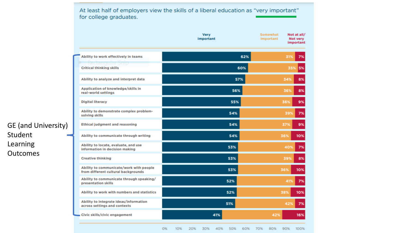|                                                                                | <b>Very</b><br>Important | Somewhat<br>Not at all/<br>important<br>Not very<br>important |
|--------------------------------------------------------------------------------|--------------------------|---------------------------------------------------------------|
| Ability to work effectively in teams                                           | 62%                      | 31%<br>7%                                                     |
| tangular Ship<br><b>Critical thinking skills</b>                               | 60%                      | 5%<br>35%                                                     |
| Ability to analyze and interpret data                                          | 57%                      | 34%<br>8%                                                     |
| Application of knowledge/skills in<br>real-world settings                      | 56%                      | 36%<br>8%                                                     |
| <b>Digital literacy</b>                                                        | 55%                      | 9%<br>36%                                                     |
| Ability to demonstrate complex problem-<br>solving skills                      | 54%                      | 7%<br>39%                                                     |
| <b>Ethical judgment and reasoning</b>                                          | 54%                      | 9%<br>37%                                                     |
| Ability to communicate through writing                                         | 54%                      | 36%<br>10%                                                    |
| Ability to locate, evaluate, and use<br>information in decision making         | 53%                      | 40%<br>7%                                                     |
| <b>Creative thinking</b>                                                       | 53%                      | 39%<br>8%                                                     |
| Ability to communicate/work with people<br>from different cultural backgrounds | 53%                      | 36%<br>10%                                                    |
| Ability to communicate through speaking/<br>presentation skills                | 52%                      | 7%<br>41%                                                     |
| Ability to work with numbers and statistics                                    | 52%                      | 10%<br>38%                                                    |
| Ability to integrate ideas/information<br>across settings and contexts         | 51%                      | 42%<br>7%                                                     |
| Civic skills/civic engagement                                                  | 41%                      | 16%<br>42%                                                    |

GE (and University) Student Learning **Outcomes** 

> O% 10% 20% 30% 40% 50% 60% 70% 80% 90% 100%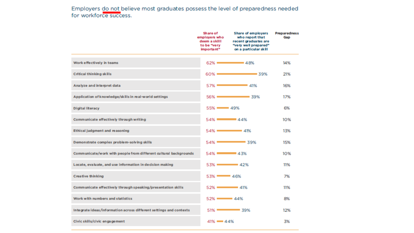Employers do not believe most graduates possess the level of preparedness needed for workforce success.

|                                                                    | Share of<br>employers who<br>deem a skilll<br>to be "very<br>important" | <b>Share of employers</b><br>who report that<br>recent graduates are<br>"very well prepared"<br>on a particular skill | <b>Preparedness</b><br>Gap |
|--------------------------------------------------------------------|-------------------------------------------------------------------------|-----------------------------------------------------------------------------------------------------------------------|----------------------------|
| Work effectively in teams                                          | $62% =$                                                                 | $= 48%$                                                                                                               | 14%                        |
| <b>Critical thinking skills</b>                                    | $60% =$                                                                 | $\sim$ 39%                                                                                                            | 21%                        |
| Analyze and interpret data                                         | $57\%$ =                                                                | $= 41%$                                                                                                               | 16%                        |
| Application of knowledge/skills in real-world settings             | 56%                                                                     | $\sim$ 39%                                                                                                            | 17%                        |
| <b>Digital literacy</b>                                            | $55\%$ $\longrightarrow$ 49%                                            |                                                                                                                       | 6%                         |
| Communicate effectively through writing                            | 54% 22.2007                                                             | $= 44%$                                                                                                               | 10%                        |
| <b>Ethical judgment and reasoning</b>                              |                                                                         | $54\%$ $\longrightarrow$ 41%                                                                                          | 13%                        |
| Demonstrate complex problem-solving skills                         |                                                                         | $54\%$ $\longrightarrow$ 39%                                                                                          | 15%                        |
| Communicate/work with people from different cultural backgrounds   | 54% 23%                                                                 |                                                                                                                       | 10%                        |
| Locate, evaluate, and use information in decision making           | 53% 22%                                                                 |                                                                                                                       | 11%                        |
| <b>Creative thinking</b>                                           | $53\%$ $-46\%$                                                          |                                                                                                                       | 7%                         |
| Communicate effectively through speaking/presentation skills       | 52% 23%                                                                 |                                                                                                                       | 11%                        |
| Work with numbers and statistics                                   | $52\%$ $\longrightarrow$ 44%                                            |                                                                                                                       | 8%                         |
| Integrate ideas/information across different settings and contexts |                                                                         | $51\%$ 39%                                                                                                            | 12%                        |
| Civic skills/civic engagement                                      | $41\% = 44\%$                                                           |                                                                                                                       | 3%                         |